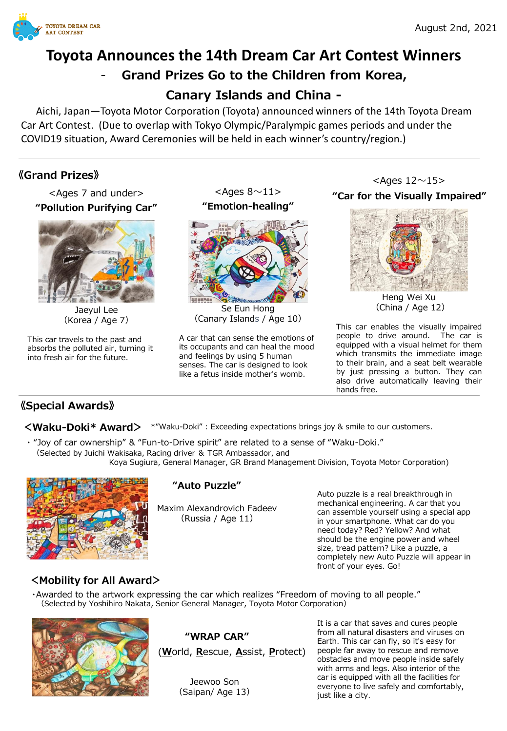

# **Toyota Announces the 14th Dream Car Art Contest Winners**  - **Grand Prizes Go to the Children from Korea, Canary Islands and China -**

Aichi, Japan—Toyota Motor Corporation (Toyota) announced winners of the 14th Toyota Dream Car Art Contest. (Due to overlap with Tokyo Olympic/Paralympic games periods and under the COVID19 situation, Award Ceremonies will be held in each winner's country/region.)

# **《Grand Prizes》**

<Ages 7 and under> **"Pollution Purifying Car"**



Jaeyul Lee (Korea / Age 7)

This car travels to the past and absorbs the polluted air, turning it into fresh air for the future.

**"Emotion-healing"**  $<$ Ages 8 $\sim$ 11>



Se Eun Hong (Canary Islands / Age 10)

A car that can sense the emotions of its occupants and can heal the mood and feelings by using 5 human senses. The car is designed to look like a fetus inside mother's womb.

 $<$ Ages 12 $\sim$ 15> **"Car for the Visually Impaired"**



Heng Wei Xu (China / Age 12)

This car enables the visually impaired people to drive around. The car is equipped with a visual helmet for them which transmits the immediate image to their brain, and a seat belt wearable by just pressing a button. They can also drive automatically leaving their hands free.

# **《Special Awards》**

**<Waku-Doki\* Award>** \*"Waku-Doki" : Exceeding expectations brings joy & smile to our customers.

・ "Joy of car ownership" & "Fun-to-Drive spirit" are related to a sense of "Waku-Doki." (Selected by Juichi Wakisaka, Racing driver & TGR Ambassador, and Koya Sugiura, General Manager, GR Brand Management Division, Toyota Motor Corporation)



# **"Auto Puzzle"**

Maxim Alexandrovich Fadeev (Russia / Age 11)

Auto puzzle is a real breakthrough in mechanical engineering. A car that you can assemble yourself using a special app in your smartphone. What car do you need today? Red? Yellow? And what should be the engine power and wheel size, tread pattern? Like a puzzle, a completely new Auto Puzzle will appear in front of your eyes. Go!

# **<Mobility for All Award>**

・Awarded to the artwork expressing the car which realizes "Freedom of moving to all people." (Selected by Yoshihiro Nakata, Senior General Manager, Toyota Motor Corporation)



# **"WRAP CAR"**

(**W**orld, **R**escue, **A**ssist, **P**rotect)

Jeewoo Son (Saipan/ Age 13)

It is a car that saves and cures people from all natural disasters and viruses on Earth. This car can fly, so it's easy for people far away to rescue and remove obstacles and move people inside safely with arms and legs. Also interior of the car is equipped with all the facilities for everyone to live safely and comfortably, just like a city.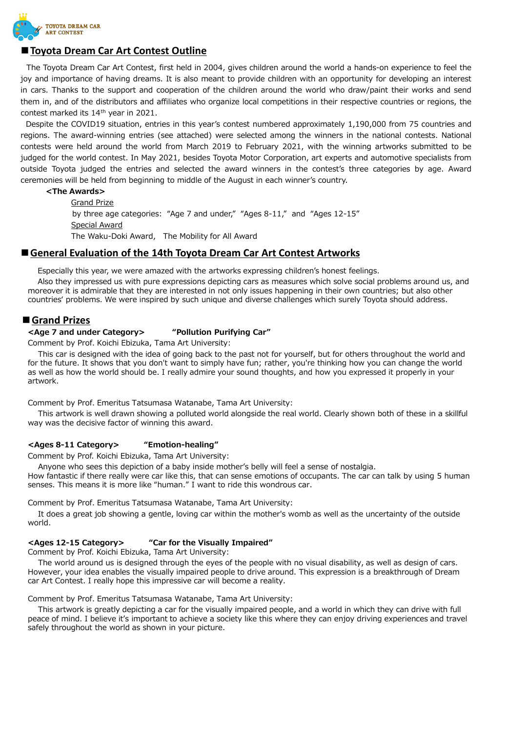

## **■Toyota Dream Car Art Contest Outline**

The Toyota Dream Car Art Contest, first held in 2004, gives children around the world a hands-on experience to feel the joy and importance of having dreams. It is also meant to provide children with an opportunity for developing an interest in cars. Thanks to the support and cooperation of the children around the world who draw/paint their works and send them in, and of the distributors and affiliates who organize local competitions in their respective countries or regions, the contest marked its 14<sup>th</sup> year in 2021.

Despite the COVID19 situation, entries in this year's contest numbered approximately 1,190,000 from 75 countries and regions. The award-winning entries (see attached) were selected among the winners in the national contests. National contests were held around the world from March 2019 to February 2021, with the winning artworks submitted to be judged for the world contest. In May 2021, besides Toyota Motor Corporation, art experts and automotive specialists from outside Toyota judged the entries and selected the award winners in the contest's three categories by age. Award ceremonies will be held from beginning to middle of the August in each winner's country.

#### **<The Awards>**

Grand Prize by three age categories: "Age 7 and under," "Ages 8-11," and "Ages 12-15" Special Award The Waku-Doki Award, The Mobility for All Award

#### ■**B** General Evaluation of the 14th Toyota Dream Car Art Contest Artworks

Especially this year, we were amazed with the artworks expressing children's honest feelings.

Also they impressed us with pure expressions depicting cars as measures which solve social problems around us, and moreover it is admirable that they are interested in not only issues happening in their own countries; but also other countries' problems. We were inspired by such unique and diverse challenges which surely Toyota should address.

#### **■Grand Prizes**

#### **<Age 7 and under Category> "Pollution Purifying Car"**

Comment by Prof. Koichi Ebizuka, Tama Art University:

This car is designed with the idea of going back to the past not for yourself, but for others throughout the world and for the future. It shows that you don't want to simply have fun; rather, you're thinking how you can change the world as well as how the world should be. I really admire your sound thoughts, and how you expressed it properly in your artwork.

Comment by Prof. Emeritus Tatsumasa Watanabe, Tama Art University:

This artwork is well drawn showing a polluted world alongside the real world. Clearly shown both of these in a skillful way was the decisive factor of winning this award.

#### **<Ages 8-11 Category> "Emotion-healing"**

Comment by Prof. Koichi Ebizuka, Tama Art University:

Anyone who sees this depiction of a baby inside mother's belly will feel a sense of nostalgia.

How fantastic if there really were car like this, that can sense emotions of occupants. The car can talk by using 5 human senses. This means it is more like "human." I want to ride this wondrous car.

Comment by Prof. Emeritus Tatsumasa Watanabe, Tama Art University:

It does a great job showing a gentle, loving car within the mother's womb as well as the uncertainty of the outside world.

#### **<Ages 12-15 Category> "Car for the Visually Impaired"**

Comment by Prof. Koichi Ebizuka, Tama Art University:

The world around us is designed through the eyes of the people with no visual disability, as well as design of cars. However, your idea enables the visually impaired people to drive around. This expression is a breakthrough of Dream car Art Contest. I really hope this impressive car will become a reality.

Comment by Prof. Emeritus Tatsumasa Watanabe, Tama Art University:

This artwork is greatly depicting a car for the visually impaired people, and a world in which they can drive with full peace of mind. I believe it's important to achieve a society like this where they can enjoy driving experiences and travel safely throughout the world as shown in your picture.